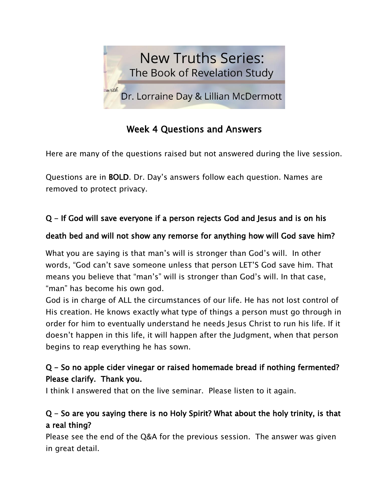

# Week 4 Questions and Answers

Here are many of the questions raised but not answered during the live session.

Questions are in BOLD. Dr. Day's answers follow each question. Names are removed to protect privacy.

## Q - If God will save everyone if a person rejects God and Jesus and is on his

### death bed and will not show any remorse for anything how will God save him?

What you are saying is that man's will is stronger than God's will. In other words, "God can't save someone unless that person LET'S God save him. That means you believe that "man's" will is stronger than God's will. In that case, "man" has become his own god.

God is in charge of ALL the circumstances of our life. He has not lost control of His creation. He knows exactly what type of things a person must go through in order for him to eventually understand he needs Jesus Christ to run his life. If it doesn't happen in this life, it will happen after the Judgment, when that person begins to reap everything he has sown.

### Q - So no apple cider vinegar or raised homemade bread if nothing fermented? Please clarify. Thank you.

I think I answered that on the live seminar. Please listen to it again.

### Q - So are you saying there is no Holy Spirit? What about the holy trinity, is that a real thing?

Please see the end of the Q&A for the previous session. The answer was given in great detail.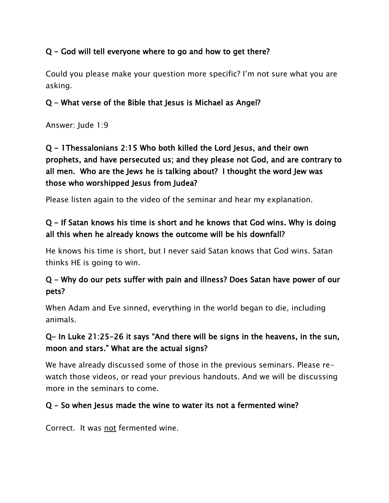#### Q - God will tell everyone where to go and how to get there?

Could you please make your question more specific? I'm not sure what you are asking.

#### Q - What verse of the Bible that Jesus is Michael as Angel?

Answer: Jude 1:9

Q - 1Thessalonians 2:15 Who both killed the Lord Jesus, and their own prophets, and have persecuted us; and they please not God, and are contrary to all men. Who are the Jews he is talking about? I thought the word Jew was those who worshipped Jesus from Judea?

Please listen again to the video of the seminar and hear my explanation.

### Q - If Satan knows his time is short and he knows that God wins. Why is doing all this when he already knows the outcome will be his downfall?

He knows his time is short, but I never said Satan knows that God wins. Satan thinks HE is going to win.

#### Q - Why do our pets suffer with pain and illness? Does Satan have power of our pets?

When Adam and Eve sinned, everything in the world began to die, including animals.

#### Q- In Luke 21:25-26 it says "And there will be signs in the heavens, in the sun, moon and stars." What are the actual signs?

We have already discussed some of those in the previous seminars. Please rewatch those videos, or read your previous handouts. And we will be discussing more in the seminars to come.

#### Q - So when Jesus made the wine to water its not a fermented wine?

Correct. It was not fermented wine.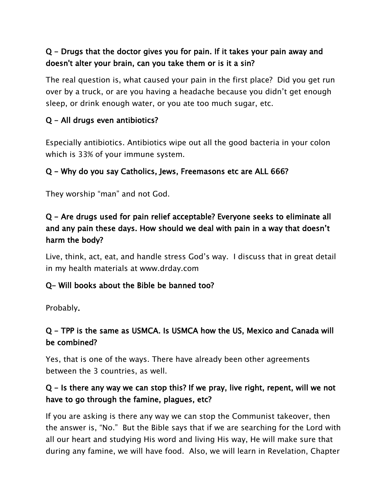### Q - Drugs that the doctor gives you for pain. If it takes your pain away and doesn't alter your brain, can you take them or is it a sin?

The real question is, what caused your pain in the first place? Did you get run over by a truck, or are you having a headache because you didn't get enough sleep, or drink enough water, or you ate too much sugar, etc.

#### Q - All drugs even antibiotics?

Especially antibiotics. Antibiotics wipe out all the good bacteria in your colon which is 33% of your immune system.

#### Q - Why do you say Catholics, Jews, Freemasons etc are ALL 666?

They worship "man" and not God.

### Q - Are drugs used for pain relief acceptable? Everyone seeks to eliminate all and any pain these days. How should we deal with pain in a way that doesn't harm the body?

Live, think, act, eat, and handle stress God's way. I discuss that in great detail in my health materials at www.drday.com

#### Q- Will books about the Bible be banned too?

Probably.

### Q - TPP is the same as USMCA. Is USMCA how the US, Mexico and Canada will be combined?

Yes, that is one of the ways. There have already been other agreements between the 3 countries, as well.

### Q - Is there any way we can stop this? If we pray, live right, repent, will we not have to go through the famine, plagues, etc?

If you are asking is there any way we can stop the Communist takeover, then the answer is, "No." But the Bible says that if we are searching for the Lord with all our heart and studying His word and living His way, He will make sure that during any famine, we will have food. Also, we will learn in Revelation, Chapter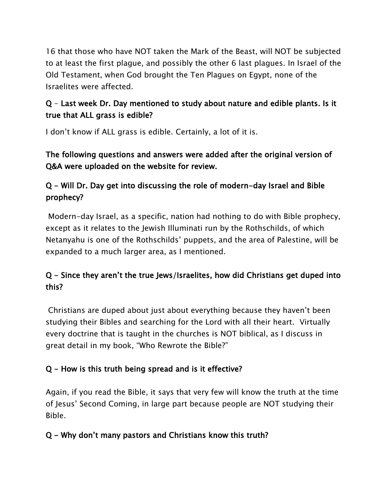16 that those who have NOT taken the Mark of the Beast, will NOT be subjected to at least the first plague, and possibly the other 6 last plagues. In Israel of the Old Testament, when God brought the Ten Plagues on Egypt, none of the Israelites were affected.

## Q - Last week Dr. Day mentioned to study about nature and edible plants. Is it true that ALL grass is edible?

I don't know if ALL grass is edible. Certainly, a lot of it is.

### The following questions and answers were added after the original version of Q&A were uploaded on the website for review.

## Q - Will Dr. Day get into discussing the role of modern-day Israel and Bible prophecy?

Modern-day Israel, as a specific, nation had nothing to do with Bible prophecy, except as it relates to the Jewish Illuminati run by the Rothschilds, of which Netanyahu is one of the Rothschilds' puppets, and the area of Palestine, will be expanded to a much larger area, as I mentioned.

## Q - Since they aren't the true Jews/Israelites, how did Christians get duped into this?

Christians are duped about just about everything because they haven't been studying their Bibles and searching for the Lord with all their heart. Virtually every doctrine that is taught in the churches is NOT biblical, as I discuss in great detail in my book, "Who Rewrote the Bible?"

## Q - How is this truth being spread and is it effective?

Again, if you read the Bible, it says that very few will know the truth at the time of Jesus' Second Coming, in large part because people are NOT studying their Bible.

### Q - Why don't many pastors and Christians know this truth?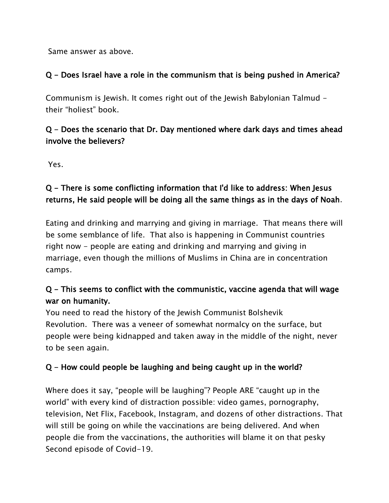Same answer as above.

### Q - Does Israel have a role in the communism that is being pushed in America?

Communism is Jewish. It comes right out of the Jewish Babylonian Talmud their "holiest" book.

### Q - Does the scenario that Dr. Day mentioned where dark days and times ahead involve the believers?

Yes.

## Q - There is some conflicting information that I'd like to address: When Jesus returns, He said people will be doing all the same things as in the days of Noah.

Eating and drinking and marrying and giving in marriage. That means there will be some semblance of life. That also is happening in Communist countries right now - people are eating and drinking and marrying and giving in marriage, even though the millions of Muslims in China are in concentration camps.

## Q - This seems to conflict with the communistic, vaccine agenda that will wage war on humanity.

You need to read the history of the Jewish Communist Bolshevik Revolution. There was a veneer of somewhat normalcy on the surface, but people were being kidnapped and taken away in the middle of the night, never to be seen again.

## Q - How could people be laughing and being caught up in the world?

Where does it say, "people will be laughing"? People ARE "caught up in the world" with every kind of distraction possible: video games, pornography, television, Net Flix, Facebook, Instagram, and dozens of other distractions. That will still be going on while the vaccinations are being delivered. And when people die from the vaccinations, the authorities will blame it on that pesky Second episode of Covid-19.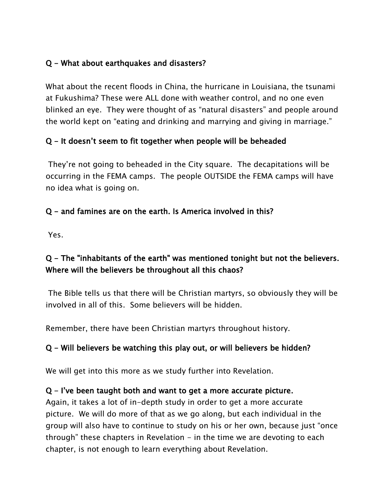### Q - What about earthquakes and disasters?

What about the recent floods in China, the hurricane in Louisiana, the tsunami at Fukushima? These were ALL done with weather control, and no one even blinked an eye. They were thought of as "natural disasters" and people around the world kept on "eating and drinking and marrying and giving in marriage."

### Q - It doesn't seem to fit together when people will be beheaded

They're not going to beheaded in the City square. The decapitations will be occurring in the FEMA camps. The people OUTSIDE the FEMA camps will have no idea what is going on.

#### Q - and famines are on the earth. Is America involved in this?

Yes.

### Q - The "inhabitants of the earth" was mentioned tonight but not the believers. Where will the believers be throughout all this chaos?

The Bible tells us that there will be Christian martyrs, so obviously they will be involved in all of this. Some believers will be hidden.

Remember, there have been Christian martyrs throughout history.

### Q - Will believers be watching this play out, or will believers be hidden?

We will get into this more as we study further into Revelation.

#### Q - I've been taught both and want to get a more accurate picture.

Again, it takes a lot of in-depth study in order to get a more accurate picture. We will do more of that as we go along, but each individual in the group will also have to continue to study on his or her own, because just "once through" these chapters in Revelation  $-$  in the time we are devoting to each chapter, is not enough to learn everything about Revelation.